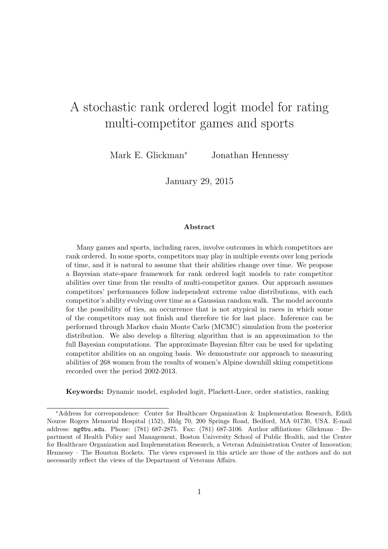# A stochastic rank ordered logit model for rating multi-competitor games and sports

Mark E. Glickman*<sup>∗</sup>* Jonathan Hennessy

January 29, 2015

#### **Abstract**

Many games and sports, including races, involve outcomes in which competitors are rank ordered. In some sports, competitors may play in multiple events over long periods of time, and it is natural to assume that their abilities change over time. We propose a Bayesian state-space framework for rank ordered logit models to rate competitor abilities over time from the results of multi-competitor games. Our approach assumes competitors' performances follow independent extreme value distributions, with each competitor's ability evolving over time as a Gaussian random walk. The model accounts for the possibility of ties, an occurrence that is not atypical in races in which some of the competitors may not finish and therefore tie for last place. Inference can be performed through Markov chain Monte Carlo (MCMC) simulation from the posterior distribution. We also develop a filtering algorithm that is an approximation to the full Bayesian computations. The approximate Bayesian filter can be used for updating competitor abilities on an ongoing basis. We demonstrate our approach to measuring abilities of 268 women from the results of women's Alpine downhill skiing competitions recorded over the period 2002-2013.

**Keywords:** Dynamic model, exploded logit, Plackett-Luce, order statistics, ranking

*<sup>∗</sup>*Address for correspondence: Center for Healthcare Organization & Implementation Research, Edith Nourse Rogers Memorial Hospital (152), Bldg 70, 200 Springs Road, Bedford, MA 01730, USA. E-mail address: mg@bu.edu. Phone: (781) 687-2875. Fax: (781) 687-3106. Author affiliations: Glickman – Department of Health Policy and Management, Boston University School of Public Health, and the Center for Healthcare Organization and Implementation Research, a Veteran Administration Center of Innovation; Hennessy – The Houston Rockets. The views expressed in this article are those of the authors and do not necessarily reflect the views of the Department of Veterans Affairs.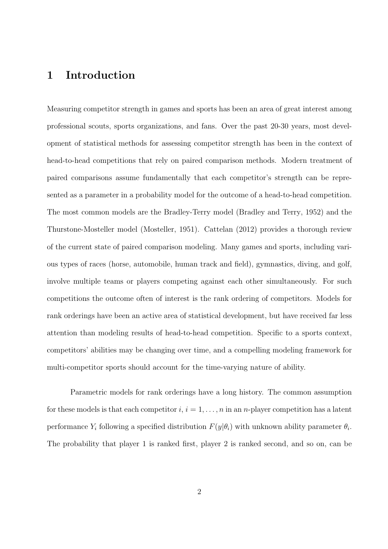#### **1 Introduction**

Measuring competitor strength in games and sports has been an area of great interest among professional scouts, sports organizations, and fans. Over the past 20-30 years, most development of statistical methods for assessing competitor strength has been in the context of head-to-head competitions that rely on paired comparison methods. Modern treatment of paired comparisons assume fundamentally that each competitor's strength can be represented as a parameter in a probability model for the outcome of a head-to-head competition. The most common models are the Bradley-Terry model (Bradley and Terry, 1952) and the Thurstone-Mosteller model (Mosteller, 1951). Cattelan (2012) provides a thorough review of the current state of paired comparison modeling. Many games and sports, including various types of races (horse, automobile, human track and field), gymnastics, diving, and golf, involve multiple teams or players competing against each other simultaneously. For such competitions the outcome often of interest is the rank ordering of competitors. Models for rank orderings have been an active area of statistical development, but have received far less attention than modeling results of head-to-head competition. Specific to a sports context, competitors' abilities may be changing over time, and a compelling modeling framework for multi-competitor sports should account for the time-varying nature of ability.

Parametric models for rank orderings have a long history. The common assumption for these models is that each competitor  $i, i = 1, \ldots, n$  in an *n*-player competition has a latent performance  $Y_i$  following a specified distribution  $F(y|\theta_i)$  with unknown ability parameter  $\theta_i$ . The probability that player 1 is ranked first, player 2 is ranked second, and so on, can be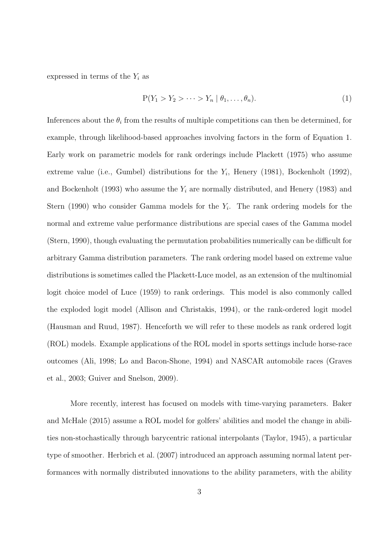expressed in terms of the  $Y_i$  as

$$
P(Y_1 > Y_2 > \cdots > Y_n \mid \theta_1, \ldots, \theta_n).
$$
\n<sup>(1)</sup>

Inferences about the  $\theta_i$  from the results of multiple competitions can then be determined, for example, through likelihood-based approaches involving factors in the form of Equation 1. Early work on parametric models for rank orderings include Plackett (1975) who assume extreme value (i.e., Gumbel) distributions for the  $Y_i$ , Henery (1981), Bockenholt (1992), and Bockenholt (1993) who assume the *Y<sup>i</sup>* are normally distributed, and Henery (1983) and Stern (1990) who consider Gamma models for the *Y<sup>i</sup>* . The rank ordering models for the normal and extreme value performance distributions are special cases of the Gamma model (Stern, 1990), though evaluating the permutation probabilities numerically can be difficult for arbitrary Gamma distribution parameters. The rank ordering model based on extreme value distributions is sometimes called the Plackett-Luce model, as an extension of the multinomial logit choice model of Luce (1959) to rank orderings. This model is also commonly called the exploded logit model (Allison and Christakis, 1994), or the rank-ordered logit model (Hausman and Ruud, 1987). Henceforth we will refer to these models as rank ordered logit (ROL) models. Example applications of the ROL model in sports settings include horse-race outcomes (Ali, 1998; Lo and Bacon-Shone, 1994) and NASCAR automobile races (Graves et al., 2003; Guiver and Snelson, 2009).

More recently, interest has focused on models with time-varying parameters. Baker and McHale (2015) assume a ROL model for golfers' abilities and model the change in abilities non-stochastically through barycentric rational interpolants (Taylor, 1945), a particular type of smoother. Herbrich et al. (2007) introduced an approach assuming normal latent performances with normally distributed innovations to the ability parameters, with the ability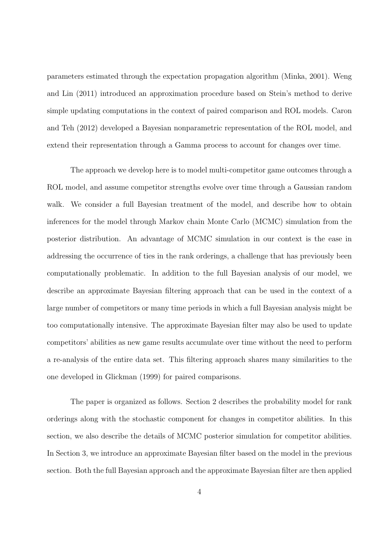parameters estimated through the expectation propagation algorithm (Minka, 2001). Weng and Lin (2011) introduced an approximation procedure based on Stein's method to derive simple updating computations in the context of paired comparison and ROL models. Caron and Teh (2012) developed a Bayesian nonparametric representation of the ROL model, and extend their representation through a Gamma process to account for changes over time.

The approach we develop here is to model multi-competitor game outcomes through a ROL model, and assume competitor strengths evolve over time through a Gaussian random walk. We consider a full Bayesian treatment of the model, and describe how to obtain inferences for the model through Markov chain Monte Carlo (MCMC) simulation from the posterior distribution. An advantage of MCMC simulation in our context is the ease in addressing the occurrence of ties in the rank orderings, a challenge that has previously been computationally problematic. In addition to the full Bayesian analysis of our model, we describe an approximate Bayesian filtering approach that can be used in the context of a large number of competitors or many time periods in which a full Bayesian analysis might be too computationally intensive. The approximate Bayesian filter may also be used to update competitors' abilities as new game results accumulate over time without the need to perform a re-analysis of the entire data set. This filtering approach shares many similarities to the one developed in Glickman (1999) for paired comparisons.

The paper is organized as follows. Section 2 describes the probability model for rank orderings along with the stochastic component for changes in competitor abilities. In this section, we also describe the details of MCMC posterior simulation for competitor abilities. In Section 3, we introduce an approximate Bayesian filter based on the model in the previous section. Both the full Bayesian approach and the approximate Bayesian filter are then applied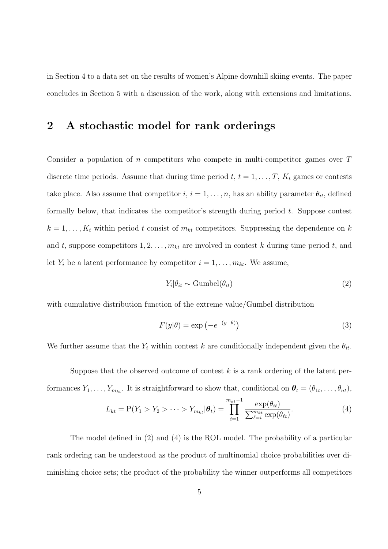in Section 4 to a data set on the results of women's Alpine downhill skiing events. The paper concludes in Section 5 with a discussion of the work, along with extensions and limitations.

# **2 A stochastic model for rank orderings**

Consider a population of *n* competitors who compete in multi-competitor games over *T* discrete time periods. Assume that during time period  $t, t = 1, \ldots, T, K_t$  games or contests take place. Also assume that competitor  $i, i = 1, \ldots, n$ , has an ability parameter  $\theta_{it}$ , defined formally below, that indicates the competitor's strength during period *t*. Suppose contest  $k = 1, \ldots, K_t$  within period *t* consist of  $m_{kt}$  competitors. Suppressing the dependence on *k* and *t*, suppose competitors  $1, 2, \ldots, m_{kt}$  are involved in contest *k* during time period *t*, and let  $Y_i$  be a latent performance by competitor  $i = 1, \ldots, m_{kt}$ . We assume,

$$
Y_i | \theta_{it} \sim \text{Gumbel}(\theta_{it}) \tag{2}
$$

with cumulative distribution function of the extreme value/Gumbel distribution

$$
F(y|\theta) = \exp(-e^{-(y-\theta)})
$$
\n(3)

We further assume that the  $Y_i$  within contest  $k$  are conditionally independent given the  $\theta_{it}$ .

Suppose that the observed outcome of contest *k* is a rank ordering of the latent performances  $Y_1, \ldots, Y_{m_{kt}}$ . It is straightforward to show that, conditional on  $\theta_t = (\theta_{1t}, \ldots, \theta_{nt}),$ 

$$
L_{kt} = P(Y_1 > Y_2 > \cdots > Y_{m_{kt}} | \boldsymbol{\theta}_t) = \prod_{i=1}^{m_{kt}-1} \frac{\exp(\theta_{it})}{\sum_{\ell=i}^{m_{kt}} \exp(\theta_{\ell t})}.
$$
(4)

The model defined in (2) and (4) is the ROL model. The probability of a particular rank ordering can be understood as the product of multinomial choice probabilities over diminishing choice sets; the product of the probability the winner outperforms all competitors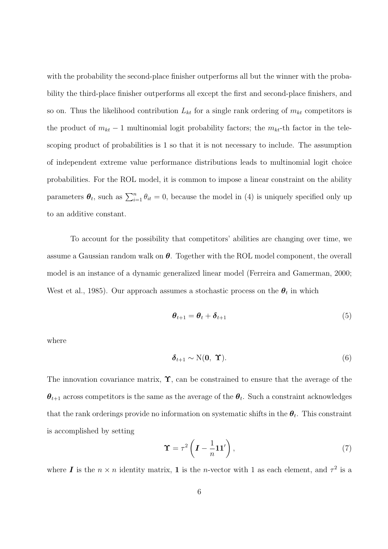with the probability the second-place finisher outperforms all but the winner with the probability the third-place finisher outperforms all except the first and second-place finishers, and so on. Thus the likelihood contribution  $L_{kt}$  for a single rank ordering of  $m_{kt}$  competitors is the product of  $m_{kt} - 1$  multinomial logit probability factors; the  $m_{kt}$ -th factor in the telescoping product of probabilities is 1 so that it is not necessary to include. The assumption of independent extreme value performance distributions leads to multinomial logit choice probabilities. For the ROL model, it is common to impose a linear constraint on the ability parameters  $\theta_t$ , such as  $\sum_{i=1}^n \theta_{it} = 0$ , because the model in (4) is uniquely specified only up to an additive constant.

To account for the possibility that competitors' abilities are changing over time, we assume a Gaussian random walk on *θ*. Together with the ROL model component, the overall model is an instance of a dynamic generalized linear model (Ferreira and Gamerman, 2000; West et al., 1985). Our approach assumes a stochastic process on the  $\theta_t$  in which

$$
\boldsymbol{\theta}_{t+1} = \boldsymbol{\theta}_t + \boldsymbol{\delta}_{t+1} \tag{5}
$$

where

$$
\delta_{t+1} \sim \mathcal{N}(\mathbf{0}, \; \mathbf{\Upsilon}). \tag{6}
$$

The innovation covariance matrix, **Υ**, can be constrained to ensure that the average of the *θt*+1 across competitors is the same as the average of the *θ<sup>t</sup>* . Such a constraint acknowledges that the rank orderings provide no information on systematic shifts in the  $\theta_t$ . This constraint is accomplished by setting

$$
\Upsilon = \tau^2 \left( I - \frac{1}{n} \mathbf{1} \mathbf{1}' \right),\tag{7}
$$

where *I* is the  $n \times n$  identity matrix, **1** is the *n*-vector with 1 as each element, and  $\tau^2$  is a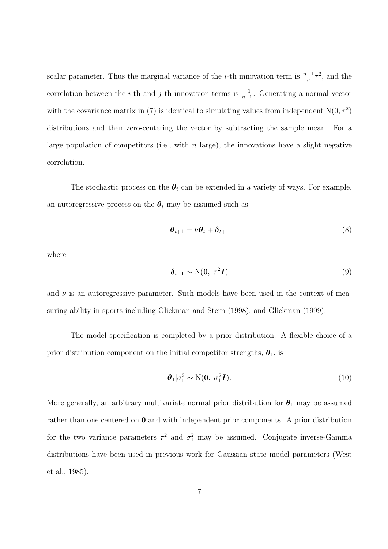scalar parameter. Thus the marginal variance of the *i*-th innovation term is  $\frac{n-1}{n}\tau^2$ , and the correlation between the *i*-th and *j*-th innovation terms is  $\frac{-1}{n-1}$ . Generating a normal vector with the covariance matrix in (7) is identical to simulating values from independent  $N(0, \tau^2)$ distributions and then zero-centering the vector by subtracting the sample mean. For a large population of competitors (i.e., with *n* large), the innovations have a slight negative correlation.

The stochastic process on the  $\theta_t$  can be extended in a variety of ways. For example, an autoregressive process on the  $\theta_t$  may be assumed such as

$$
\boldsymbol{\theta}_{t+1} = \nu \boldsymbol{\theta}_t + \boldsymbol{\delta}_{t+1} \tag{8}
$$

where

$$
\delta_{t+1} \sim \mathcal{N}(\mathbf{0}, \ \tau^2 \mathbf{I}) \tag{9}
$$

and  $\nu$  is an autoregressive parameter. Such models have been used in the context of measuring ability in sports including Glickman and Stern (1998), and Glickman (1999).

The model specification is completed by a prior distribution. A flexible choice of a prior distribution component on the initial competitor strengths,  $\theta_1$ , is

$$
\boldsymbol{\theta}_1|\sigma_1^2 \sim \mathcal{N}(\mathbf{0}, \sigma_1^2 \boldsymbol{I}). \tag{10}
$$

More generally, an arbitrary multivariate normal prior distribution for  $\theta_1$  may be assumed rather than one centered on **0** and with independent prior components. A prior distribution for the two variance parameters  $\tau^2$  and  $\sigma_1^2$  may be assumed. Conjugate inverse-Gamma distributions have been used in previous work for Gaussian state model parameters (West et al., 1985).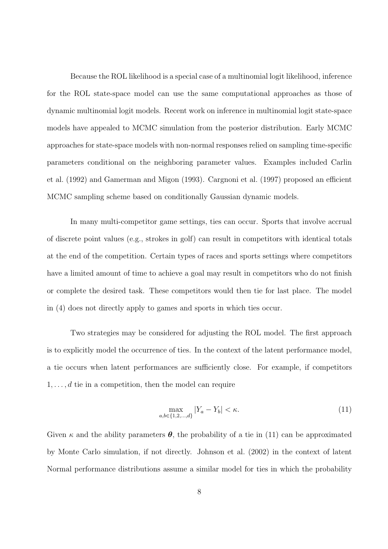Because the ROL likelihood is a special case of a multinomial logit likelihood, inference for the ROL state-space model can use the same computational approaches as those of dynamic multinomial logit models. Recent work on inference in multinomial logit state-space models have appealed to MCMC simulation from the posterior distribution. Early MCMC approaches for state-space models with non-normal responses relied on sampling time-specific parameters conditional on the neighboring parameter values. Examples included Carlin et al. (1992) and Gamerman and Migon (1993). Cargnoni et al. (1997) proposed an efficient MCMC sampling scheme based on conditionally Gaussian dynamic models.

In many multi-competitor game settings, ties can occur. Sports that involve accrual of discrete point values (e.g., strokes in golf) can result in competitors with identical totals at the end of the competition. Certain types of races and sports settings where competitors have a limited amount of time to achieve a goal may result in competitors who do not finish or complete the desired task. These competitors would then tie for last place. The model in (4) does not directly apply to games and sports in which ties occur.

Two strategies may be considered for adjusting the ROL model. The first approach is to explicitly model the occurrence of ties. In the context of the latent performance model, a tie occurs when latent performances are sufficiently close. For example, if competitors 1*, . . . , d* tie in a competition, then the model can require

$$
\max_{a,b \in \{1,2,\dots,d\}} |Y_a - Y_b| < \kappa. \tag{11}
$$

Given  $\kappa$  and the ability parameters  $\theta$ , the probability of a tie in (11) can be approximated by Monte Carlo simulation, if not directly. Johnson et al. (2002) in the context of latent Normal performance distributions assume a similar model for ties in which the probability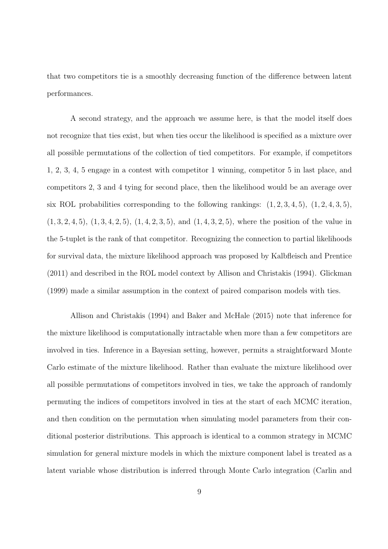that two competitors tie is a smoothly decreasing function of the difference between latent performances.

A second strategy, and the approach we assume here, is that the model itself does not recognize that ties exist, but when ties occur the likelihood is specified as a mixture over all possible permutations of the collection of tied competitors. For example, if competitors 1, 2, 3, 4, 5 engage in a contest with competitor 1 winning, competitor 5 in last place, and competitors 2, 3 and 4 tying for second place, then the likelihood would be an average over six ROL probabilities corresponding to the following rankings:  $(1, 2, 3, 4, 5)$ ,  $(1, 2, 4, 3, 5)$ , (1*,* 3*,* 2*,* 4*,* 5), (1*,* 3*,* 4*,* 2*,* 5), (1*,* 4*,* 2*,* 3*,* 5), and (1*,* 4*,* 3*,* 2*,* 5), where the position of the value in the 5-tuplet is the rank of that competitor. Recognizing the connection to partial likelihoods for survival data, the mixture likelihood approach was proposed by Kalbfleisch and Prentice (2011) and described in the ROL model context by Allison and Christakis (1994). Glickman (1999) made a similar assumption in the context of paired comparison models with ties.

Allison and Christakis (1994) and Baker and McHale (2015) note that inference for the mixture likelihood is computationally intractable when more than a few competitors are involved in ties. Inference in a Bayesian setting, however, permits a straightforward Monte Carlo estimate of the mixture likelihood. Rather than evaluate the mixture likelihood over all possible permutations of competitors involved in ties, we take the approach of randomly permuting the indices of competitors involved in ties at the start of each MCMC iteration, and then condition on the permutation when simulating model parameters from their conditional posterior distributions. This approach is identical to a common strategy in MCMC simulation for general mixture models in which the mixture component label is treated as a latent variable whose distribution is inferred through Monte Carlo integration (Carlin and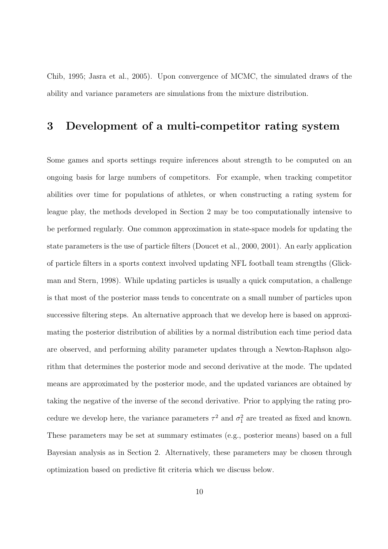Chib, 1995; Jasra et al., 2005). Upon convergence of MCMC, the simulated draws of the ability and variance parameters are simulations from the mixture distribution.

### **3 Development of a multi-competitor rating system**

Some games and sports settings require inferences about strength to be computed on an ongoing basis for large numbers of competitors. For example, when tracking competitor abilities over time for populations of athletes, or when constructing a rating system for league play, the methods developed in Section 2 may be too computationally intensive to be performed regularly. One common approximation in state-space models for updating the state parameters is the use of particle filters (Doucet et al., 2000, 2001). An early application of particle filters in a sports context involved updating NFL football team strengths (Glickman and Stern, 1998). While updating particles is usually a quick computation, a challenge is that most of the posterior mass tends to concentrate on a small number of particles upon successive filtering steps. An alternative approach that we develop here is based on approximating the posterior distribution of abilities by a normal distribution each time period data are observed, and performing ability parameter updates through a Newton-Raphson algorithm that determines the posterior mode and second derivative at the mode. The updated means are approximated by the posterior mode, and the updated variances are obtained by taking the negative of the inverse of the second derivative. Prior to applying the rating procedure we develop here, the variance parameters  $\tau^2$  and  $\sigma_1^2$  are treated as fixed and known. These parameters may be set at summary estimates (e.g., posterior means) based on a full Bayesian analysis as in Section 2. Alternatively, these parameters may be chosen through optimization based on predictive fit criteria which we discuss below.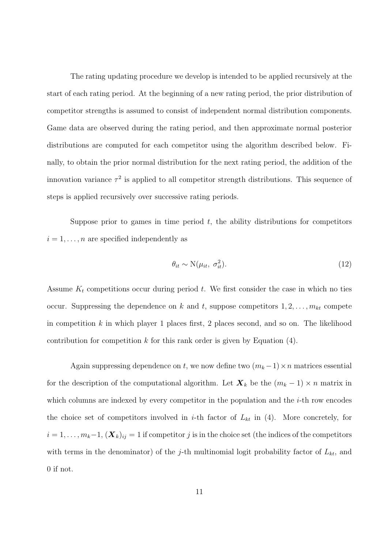The rating updating procedure we develop is intended to be applied recursively at the start of each rating period. At the beginning of a new rating period, the prior distribution of competitor strengths is assumed to consist of independent normal distribution components. Game data are observed during the rating period, and then approximate normal posterior distributions are computed for each competitor using the algorithm described below. Finally, to obtain the prior normal distribution for the next rating period, the addition of the innovation variance  $\tau^2$  is applied to all competitor strength distributions. This sequence of steps is applied recursively over successive rating periods.

Suppose prior to games in time period  $t$ , the ability distributions for competitors  $i = 1, \ldots, n$  are specified independently as

$$
\theta_{it} \sim \mathcal{N}(\mu_{it}, \sigma_{it}^2). \tag{12}
$$

Assume  $K_t$  competitions occur during period  $t$ . We first consider the case in which no ties occur. Suppressing the dependence on  $k$  and  $t$ , suppose competitors  $1, 2, \ldots, m_{kt}$  compete in competition *k* in which player 1 places first, 2 places second, and so on. The likelihood contribution for competition  $k$  for this rank order is given by Equation  $(4)$ .

Again suppressing dependence on *t*, we now define two  $(m_k - 1) \times n$  matrices essential for the description of the computational algorithm. Let  $\mathbf{X}_k$  be the  $(m_k - 1) \times n$  matrix in which columns are indexed by every competitor in the population and the *i*-th row encodes the choice set of competitors involved in *i*-th factor of  $L_{kt}$  in (4). More concretely, for  $i = 1, \ldots, m_k-1$ ,  $(X_k)_{ij} = 1$  if competitor *j* is in the choice set (the indices of the competitors with terms in the denominator) of the *j*-th multinomial logit probability factor of *Lkt*, and 0 if not.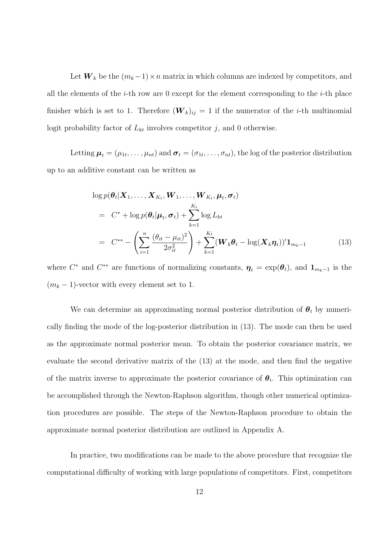Let  $W_k$  be the  $(m_k-1) \times n$  matrix in which columns are indexed by competitors, and all the elements of the *i*-th row are 0 except for the element corresponding to the *i*-th place finisher which is set to 1. Therefore  $(W_k)_{ij} = 1$  if the numerator of the *i*-th multinomial logit probability factor of  $L_{kt}$  involves competitor  $j$ , and 0 otherwise.

Letting  $\mu_t = (\mu_{1t}, \ldots, \mu_{nt})$  and  $\sigma_t = (\sigma_{1t}, \ldots, \sigma_{nt})$ , the log of the posterior distribution up to an additive constant can be written as

$$
\log p(\boldsymbol{\theta}_t | \mathbf{X}_1, \dots, \mathbf{X}_{K_t}, \mathbf{W}_1, \dots, \mathbf{W}_{K_t}, \boldsymbol{\mu}_t, \boldsymbol{\sigma}_t)
$$
\n
$$
= C^* + \log p(\boldsymbol{\theta}_t | \boldsymbol{\mu}_t, \boldsymbol{\sigma}_t) + \sum_{k=1}^{K_t} \log L_{kt}
$$
\n
$$
= C^{**} - \left(\sum_{i=1}^n \frac{(\theta_{it} - \mu_{it})^2}{2\sigma_{it}^2}\right) + \sum_{k=1}^{K_t} (\mathbf{W}_k \boldsymbol{\theta}_t - \log(\mathbf{X}_k \boldsymbol{\eta}_t))^{\prime} \mathbf{1}_{m_k - 1} \tag{13}
$$

where  $C^*$  and  $C^{**}$  are functions of normalizing constants,  $\boldsymbol{\eta}_t = \exp(\boldsymbol{\theta}_t)$ , and  $\mathbf{1}_{m_k-1}$  is the  $(m_k - 1)$ -vector with every element set to 1.

We can determine an approximating normal posterior distribution of  $\theta_t$  by numerically finding the mode of the log-posterior distribution in (13). The mode can then be used as the approximate normal posterior mean. To obtain the posterior covariance matrix, we evaluate the second derivative matrix of the (13) at the mode, and then find the negative of the matrix inverse to approximate the posterior covariance of  $\theta_t$ . This optimization can be accomplished through the Newton-Raphson algorithm, though other numerical optimization procedures are possible. The steps of the Newton-Raphson procedure to obtain the approximate normal posterior distribution are outlined in Appendix A.

In practice, two modifications can be made to the above procedure that recognize the computational difficulty of working with large populations of competitors. First, competitors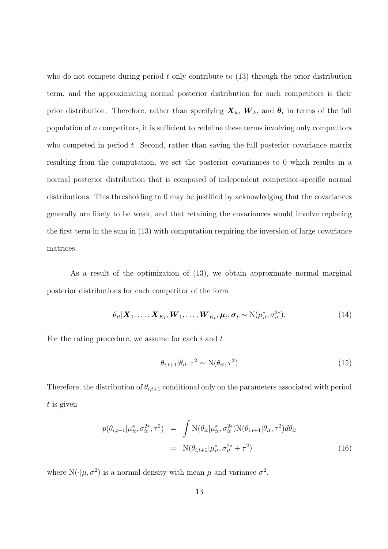who do not compete during period *t* only contribute to (13) through the prior distribution term, and the approximating normal posterior distribution for such competitors is their prior distribution. Therefore, rather than specifying  $\boldsymbol{X}_k$ ,  $\boldsymbol{W}_k$ , and  $\boldsymbol{\theta}_t$  in terms of the full population of *n* competitors, it is sufficient to redefine these terms involving only competitors who competed in period *t*. Second, rather than saving the full posterior covariance matrix resulting from the computation, we set the posterior covariances to 0 which results in a normal posterior distribution that is composed of independent competitor-specific normal distributions. This thresholding to 0 may be justified by acknowledging that the covariances generally are likely to be weak, and that retaining the covariances would involve replacing the first term in the sum in (13) with computation requiring the inversion of large covariance matrices.

As a result of the optimization of (13), we obtain approximate normal marginal posterior distributions for each competitor of the form

$$
\theta_{it}|\boldsymbol{X}_1,\ldots,\boldsymbol{X}_{K_t},\boldsymbol{W}_1,\ldots,\boldsymbol{W}_{K_t},\boldsymbol{\mu}_t,\boldsymbol{\sigma}_t\sim\mathrm{N}(\mu_{it}^*,\sigma_{it}^{2*}).
$$
\n(14)

For the rating procedure, we assume for each *i* and *t*

$$
\theta_{i,t+1}|\theta_{it},\tau^2 \sim \mathcal{N}(\theta_{it},\tau^2)
$$
\n(15)

Therefore, the distribution of  $\theta_{i,t+1}$  conditional only on the parameters associated with period *t* is given

$$
p(\theta_{i,t+1}|\mu_{it}^*, \sigma_{it}^{2*}, \tau^2) = \int \mathcal{N}(\theta_{it}|\mu_{it}^*, \sigma_{it}^{2*}) \mathcal{N}(\theta_{i,t+1}|\theta_{it}, \tau^2) d\theta_{it}
$$
  

$$
= \mathcal{N}(\theta_{i,t+1}|\mu_{it}^*, \sigma_{it}^{2*} + \tau^2)
$$
(16)

where  $N(\cdot|\mu, \sigma^2)$  is a normal density with mean  $\mu$  and variance  $\sigma^2$ .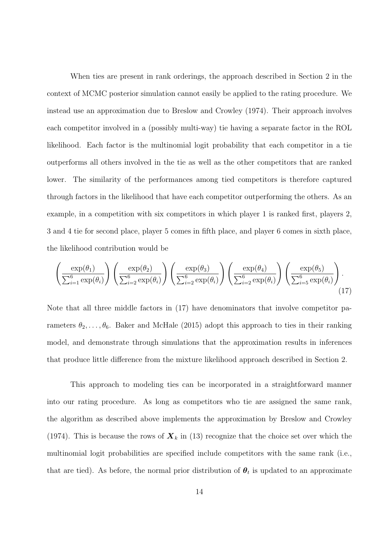When ties are present in rank orderings, the approach described in Section 2 in the context of MCMC posterior simulation cannot easily be applied to the rating procedure. We instead use an approximation due to Breslow and Crowley (1974). Their approach involves each competitor involved in a (possibly multi-way) tie having a separate factor in the ROL likelihood. Each factor is the multinomial logit probability that each competitor in a tie outperforms all others involved in the tie as well as the other competitors that are ranked lower. The similarity of the performances among tied competitors is therefore captured through factors in the likelihood that have each competitor outperforming the others. As an example, in a competition with six competitors in which player 1 is ranked first, players 2, 3 and 4 tie for second place, player 5 comes in fifth place, and player 6 comes in sixth place, the likelihood contribution would be

$$
\left(\frac{\exp(\theta_1)}{\sum_{i=1}^6 \exp(\theta_i)}\right) \left(\frac{\exp(\theta_2)}{\sum_{i=2}^6 \exp(\theta_i)}\right) \left(\frac{\exp(\theta_3)}{\sum_{i=2}^6 \exp(\theta_i)}\right) \left(\frac{\exp(\theta_4)}{\sum_{i=2}^6 \exp(\theta_i)}\right) \left(\frac{\exp(\theta_5)}{\sum_{i=5}^6 \exp(\theta_i)}\right).
$$
\n(17)

Note that all three middle factors in (17) have denominators that involve competitor parameters  $\theta_2, \ldots, \theta_6$ . Baker and McHale (2015) adopt this approach to ties in their ranking model, and demonstrate through simulations that the approximation results in inferences that produce little difference from the mixture likelihood approach described in Section 2.

This approach to modeling ties can be incorporated in a straightforward manner into our rating procedure. As long as competitors who tie are assigned the same rank, the algorithm as described above implements the approximation by Breslow and Crowley (1974). This is because the rows of  $\mathbf{X}_k$  in (13) recognize that the choice set over which the multinomial logit probabilities are specified include competitors with the same rank (i.e., that are tied). As before, the normal prior distribution of  $\theta_t$  is updated to an approximate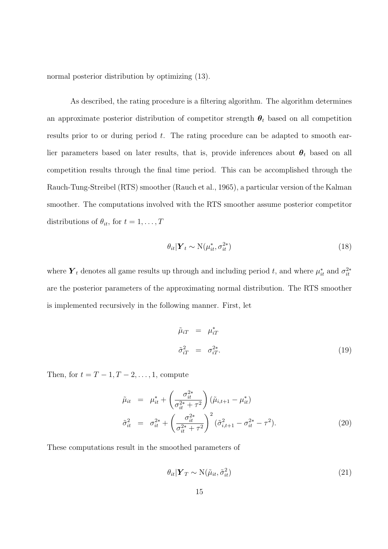normal posterior distribution by optimizing (13).

As described, the rating procedure is a filtering algorithm. The algorithm determines an approximate posterior distribution of competitor strength  $\theta_t$  based on all competition results prior to or during period *t*. The rating procedure can be adapted to smooth earlier parameters based on later results, that is, provide inferences about  $\theta_t$  based on all competition results through the final time period. This can be accomplished through the Rauch-Tung-Streibel (RTS) smoother (Rauch et al., 1965), a particular version of the Kalman smoother. The computations involved with the RTS smoother assume posterior competitor distributions of  $\theta_{it}$ , for  $t = 1, \ldots, T$ 

$$
\theta_{it} | \mathbf{Y}_t \sim \mathrm{N}(\mu_{it}^*, \sigma_{it}^{2*}) \tag{18}
$$

where  $Y_t$  denotes all game results up through and including period *t*, and where  $\mu_{it}^*$  and  $\sigma_{it}^{2*}$ are the posterior parameters of the approximating normal distribution. The RTS smoother is implemented recursively in the following manner. First, let

$$
\tilde{\mu}_{iT} = \mu_{iT}^*
$$
\n
$$
\tilde{\sigma}_{iT}^2 = \sigma_{iT}^{2*}.
$$
\n(19)

Then, for  $t = T - 1, T - 2, ..., 1$ , compute

$$
\tilde{\mu}_{it} = \mu_{it}^{*} + \left(\frac{\sigma_{it}^{2*}}{\sigma_{it}^{2*} + \tau^{2}}\right) (\tilde{\mu}_{i,t+1} - \mu_{it}^{*})
$$
\n
$$
\tilde{\sigma}_{it}^{2} = \sigma_{it}^{2*} + \left(\frac{\sigma_{it}^{2*}}{\sigma_{it}^{2*} + \tau^{2}}\right)^{2} (\tilde{\sigma}_{i,t+1}^{2} - \sigma_{it}^{2*} - \tau^{2}).
$$
\n(20)

These computations result in the smoothed parameters of

$$
\theta_{it} | \mathbf{Y}_T \sim \mathcal{N}(\tilde{\mu}_{it}, \tilde{\sigma}_{it}^2)
$$
\n(21)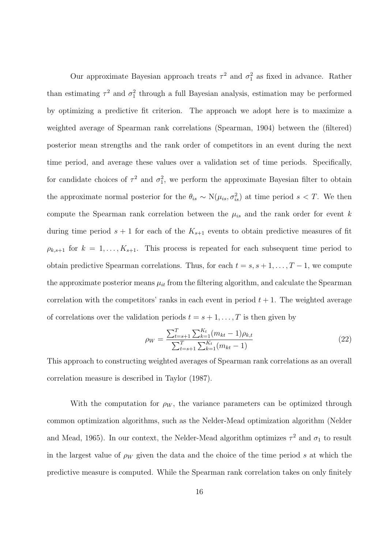Our approximate Bayesian approach treats  $\tau^2$  and  $\sigma_1^2$  as fixed in advance. Rather than estimating  $\tau^2$  and  $\sigma_1^2$  through a full Bayesian analysis, estimation may be performed by optimizing a predictive fit criterion. The approach we adopt here is to maximize a weighted average of Spearman rank correlations (Spearman, 1904) between the (filtered) posterior mean strengths and the rank order of competitors in an event during the next time period, and average these values over a validation set of time periods. Specifically, for candidate choices of  $\tau^2$  and  $\sigma_1^2$ , we perform the approximate Bayesian filter to obtain the approximate normal posterior for the  $\theta_{is} \sim N(\mu_{is}, \sigma_{is}^2)$  at time period  $s < T$ . We then compute the Spearman rank correlation between the  $\mu_{is}$  and the rank order for event  $k$ during time period  $s + 1$  for each of the  $K_{s+1}$  events to obtain predictive measures of fit  $\rho_{k,s+1}$  for  $k = 1, \ldots, K_{s+1}$ . This process is repeated for each subsequent time period to obtain predictive Spearman correlations. Thus, for each  $t = s, s + 1, \ldots, T - 1$ , we compute the approximate posterior means  $\mu_{it}$  from the filtering algorithm, and calculate the Spearman correlation with the competitors' ranks in each event in period  $t + 1$ . The weighted average of correlations over the validation periods  $t = s + 1, \ldots, T$  is then given by

$$
\rho_W = \frac{\sum_{t=s+1}^T \sum_{k=1}^{K_t} (m_{kt} - 1)\rho_{k,t}}{\sum_{t=s+1}^T \sum_{k=1}^{K_t} (m_{kt} - 1)}
$$
(22)

This approach to constructing weighted averages of Spearman rank correlations as an overall correlation measure is described in Taylor (1987).

With the computation for  $\rho_W$ , the variance parameters can be optimized through common optimization algorithms, such as the Nelder-Mead optimization algorithm (Nelder and Mead, 1965). In our context, the Nelder-Mead algorithm optimizes  $\tau^2$  and  $\sigma_1$  to result in the largest value of  $\rho_W$  given the data and the choice of the time period *s* at which the predictive measure is computed. While the Spearman rank correlation takes on only finitely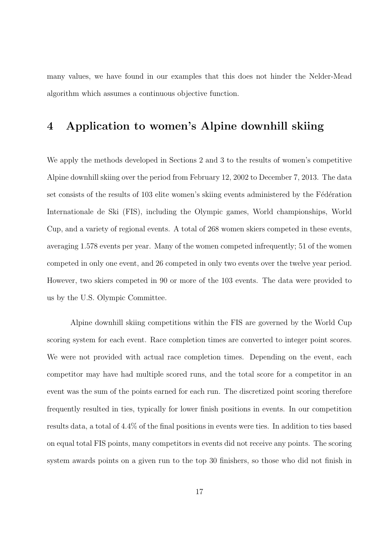many values, we have found in our examples that this does not hinder the Nelder-Mead algorithm which assumes a continuous objective function.

### **4 Application to women's Alpine downhill skiing**

We apply the methods developed in Sections 2 and 3 to the results of women's competitive Alpine downhill skiing over the period from February 12, 2002 to December 7, 2013. The data set consists of the results of 103 elite women's skiing events administered by the Fédération Internationale de Ski (FIS), including the Olympic games, World championships, World Cup, and a variety of regional events. A total of 268 women skiers competed in these events, averaging 1.578 events per year. Many of the women competed infrequently; 51 of the women competed in only one event, and 26 competed in only two events over the twelve year period. However, two skiers competed in 90 or more of the 103 events. The data were provided to us by the U.S. Olympic Committee.

Alpine downhill skiing competitions within the FIS are governed by the World Cup scoring system for each event. Race completion times are converted to integer point scores. We were not provided with actual race completion times. Depending on the event, each competitor may have had multiple scored runs, and the total score for a competitor in an event was the sum of the points earned for each run. The discretized point scoring therefore frequently resulted in ties, typically for lower finish positions in events. In our competition results data, a total of 4.4% of the final positions in events were ties. In addition to ties based on equal total FIS points, many competitors in events did not receive any points. The scoring system awards points on a given run to the top 30 finishers, so those who did not finish in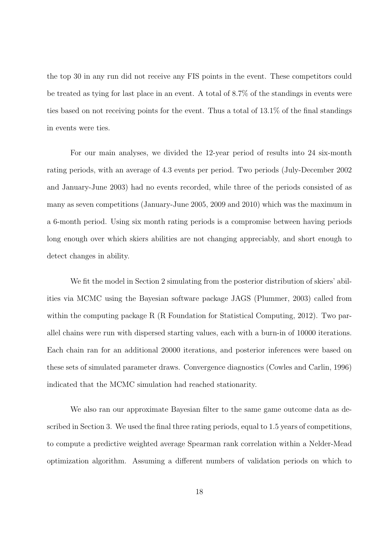the top 30 in any run did not receive any FIS points in the event. These competitors could be treated as tying for last place in an event. A total of 8.7% of the standings in events were ties based on not receiving points for the event. Thus a total of 13.1% of the final standings in events were ties.

For our main analyses, we divided the 12-year period of results into 24 six-month rating periods, with an average of 4.3 events per period. Two periods (July-December 2002 and January-June 2003) had no events recorded, while three of the periods consisted of as many as seven competitions (January-June 2005, 2009 and 2010) which was the maximum in a 6-month period. Using six month rating periods is a compromise between having periods long enough over which skiers abilities are not changing appreciably, and short enough to detect changes in ability.

We fit the model in Section 2 simulating from the posterior distribution of skiers' abilities via MCMC using the Bayesian software package JAGS (Plummer, 2003) called from within the computing package R (R Foundation for Statistical Computing, 2012). Two parallel chains were run with dispersed starting values, each with a burn-in of 10000 iterations. Each chain ran for an additional 20000 iterations, and posterior inferences were based on these sets of simulated parameter draws. Convergence diagnostics (Cowles and Carlin, 1996) indicated that the MCMC simulation had reached stationarity.

We also ran our approximate Bayesian filter to the same game outcome data as described in Section 3. We used the final three rating periods, equal to 1.5 years of competitions, to compute a predictive weighted average Spearman rank correlation within a Nelder-Mead optimization algorithm. Assuming a different numbers of validation periods on which to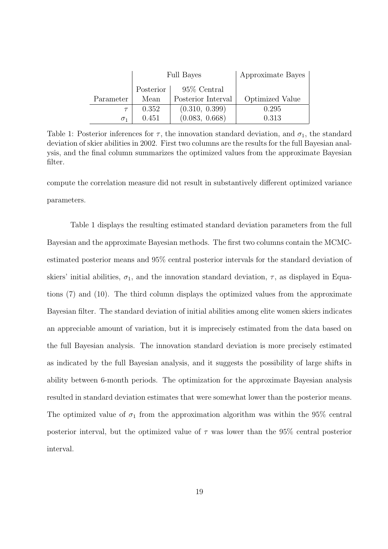|            | <b>Full Bayes</b> |                    | Approximate Bayes |  |
|------------|-------------------|--------------------|-------------------|--|
|            | Posterior         | 95\% Central       |                   |  |
| Parameter  | Mean              | Posterior Interval | Optimized Value   |  |
|            | 0.352             | (0.310, 0.399)     | 0.295             |  |
| $\sigma_1$ | 0.451             | (0.083, 0.668)     | 0.313             |  |

Table 1: Posterior inferences for  $\tau$ , the innovation standard deviation, and  $\sigma_1$ , the standard deviation of skier abilities in 2002. First two columns are the results for the full Bayesian analysis, and the final column summarizes the optimized values from the approximate Bayesian filter.

compute the correlation measure did not result in substantively different optimized variance parameters.

Table 1 displays the resulting estimated standard deviation parameters from the full Bayesian and the approximate Bayesian methods. The first two columns contain the MCMCestimated posterior means and 95% central posterior intervals for the standard deviation of skiers' initial abilities,  $\sigma_1$ , and the innovation standard deviation,  $\tau$ , as displayed in Equations (7) and (10). The third column displays the optimized values from the approximate Bayesian filter. The standard deviation of initial abilities among elite women skiers indicates an appreciable amount of variation, but it is imprecisely estimated from the data based on the full Bayesian analysis. The innovation standard deviation is more precisely estimated as indicated by the full Bayesian analysis, and it suggests the possibility of large shifts in ability between 6-month periods. The optimization for the approximate Bayesian analysis resulted in standard deviation estimates that were somewhat lower than the posterior means. The optimized value of  $\sigma_1$  from the approximation algorithm was within the 95% central posterior interval, but the optimized value of  $\tau$  was lower than the 95% central posterior interval.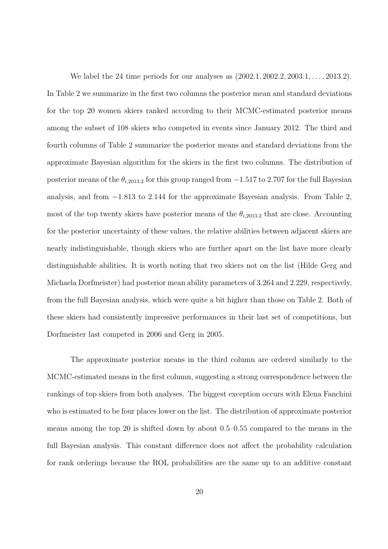We label the 24 time periods for our analyses as (2002*.*1*,* 2002*.*2*,* 2003*.*1*, . . . ,* 2013*.*2). In Table 2 we summarize in the first two columns the posterior mean and standard deviations for the top 20 women skiers ranked according to their MCMC-estimated posterior means among the subset of 108 skiers who competed in events since January 2012. The third and fourth columns of Table 2 summarize the posterior means and standard deviations from the approximate Bayesian algorithm for the skiers in the first two columns. The distribution of posterior means of the  $\theta_{i,2013.2}$  for this group ranged from  $-1.517$  to 2.707 for the full Bayesian analysis, and from *−*1*.*813 to 2*.*144 for the approximate Bayesian analysis. From Table 2, most of the top twenty skiers have posterior means of the  $\theta_{i,2013.2}$  that are close. Accounting for the posterior uncertainty of these values, the relative abilities between adjacent skiers are nearly indistinguishable, though skiers who are further apart on the list have more clearly distinguishable abilities. It is worth noting that two skiers not on the list (Hilde Gerg and Michaela Dorfmeister) had posterior mean ability parameters of 3.264 and 2.229, respectively, from the full Bayesian analysis, which were quite a bit higher than those on Table 2. Both of these skiers had consistently impressive performances in their last set of competitions, but Dorfmeister last competed in 2006 and Gerg in 2005.

The approximate posterior means in the third column are ordered similarly to the MCMC-estimated means in the first column, suggesting a strong correspondence between the rankings of top skiers from both analyses. The biggest exception occurs with Elena Fanchini who is estimated to be four places lower on the list. The distribution of approximate posterior means among the top 20 is shifted down by about 0.5–0.55 compared to the means in the full Bayesian analysis. This constant difference does not affect the probability calculation for rank orderings because the ROL probabilities are the same up to an additive constant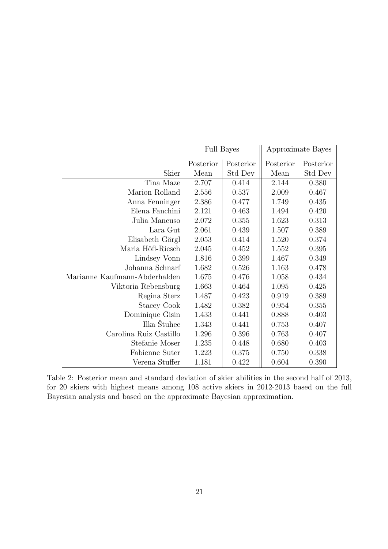|                               | <b>Full Bayes</b> |           | Approximate Bayes |           |
|-------------------------------|-------------------|-----------|-------------------|-----------|
|                               | Posterior         | Posterior | Posterior         | Posterior |
| Skier                         | Mean              | Std Dev   | Mean              | Std Dev   |
| Tina Maze                     | 2.707             | 0.414     | 2.144             | 0.380     |
| Marion Rolland                | 2.556             | 0.537     | 2.009             | 0.467     |
| Anna Fenninger                | 2.386             | 0.477     | 1.749             | 0.435     |
| Elena Fanchini                | 2.121             | 0.463     | 1.494             | 0.420     |
| Julia Mancuso                 | 2.072             | 0.355     | 1.623             | 0.313     |
| Lara Gut                      | 2.061             | 0.439     | 1.507             | 0.389     |
| Elisabeth Görgl               | 2.053             | 0.414     | 1.520             | 0.374     |
| Maria Höfl-Riesch             | 2.045             | 0.452     | 1.552             | 0.395     |
| Lindsey Vonn                  | 1.816             | 0.399     | 1.467             | 0.349     |
| Johanna Schnarf               | 1.682             | 0.526     | 1.163             | 0.478     |
| Marianne Kaufmann-Abderhalden | 1.675             | 0.476     | 1.058             | 0.434     |
| Viktoria Rebensburg           | 1.663             | 0.464     | 1.095             | 0.425     |
| Regina Sterz                  | 1.487             | 0.423     | 0.919             | 0.389     |
| Stacey Cook                   | 1.482             | 0.382     | 0.954             | 0.355     |
| Dominique Gisin               | 1.433             | 0.441     | 0.888             | 0.403     |
| Ilka Stuhec                   | 1.343             | 0.441     | 0.753             | 0.407     |
| Carolina Ruiz Castillo        | 1.296             | 0.396     | 0.763             | 0.407     |
| Stefanie Moser                | 1.235             | 0.448     | 0.680             | 0.403     |
| Fabienne Suter                | 1.223             | 0.375     | 0.750             | 0.338     |
| Verena Stuffer                | 1.181             | 0.422     | 0.604             | 0.390     |

Table 2: Posterior mean and standard deviation of skier abilities in the second half of 2013, for 20 skiers with highest means among 108 active skiers in 2012-2013 based on the full Bayesian analysis and based on the approximate Bayesian approximation.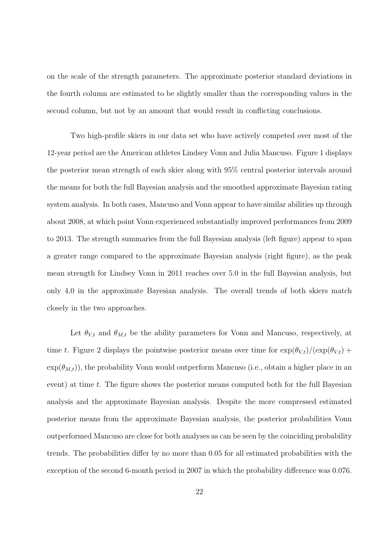on the scale of the strength parameters. The approximate posterior standard deviations in the fourth column are estimated to be slightly smaller than the corresponding values in the second column, but not by an amount that would result in conflicting conclusions.

Two high-profile skiers in our data set who have actively competed over most of the 12-year period are the American athletes Lindsey Vonn and Julia Mancuso. Figure 1 displays the posterior mean strength of each skier along with 95% central posterior intervals around the means for both the full Bayesian analysis and the smoothed approximate Bayesian rating system analysis. In both cases, Mancuso and Vonn appear to have similar abilities up through about 2008, at which point Vonn experienced substantially improved performances from 2009 to 2013. The strength summaries from the full Bayesian analysis (left figure) appear to span a greater range compared to the approximate Bayesian analysis (right figure), as the peak mean strength for Lindsey Vonn in 2011 reaches over 5.0 in the full Bayesian analysis, but only 4.0 in the approximate Bayesian analysis. The overall trends of both skiers match closely in the two approaches.

Let  $\theta_{V,t}$  and  $\theta_{M,t}$  be the ability parameters for Vonn and Mancuso, respectively, at time *t*. Figure 2 displays the pointwise posterior means over time for  $\exp(\theta_{V,t})/(\exp(\theta_{V,t}) +$  $\exp(\theta_{M,t})$ , the probability Vonn would outperform Mancuso (i.e., obtain a higher place in an event) at time *t*. The figure shows the posterior means computed both for the full Bayesian analysis and the approximate Bayesian analysis. Despite the more compressed estimated posterior means from the approximate Bayesian analysis, the posterior probabilities Vonn outperformed Mancuso are close for both analyses as can be seen by the coinciding probability trends. The probabilities differ by no more than 0.05 for all estimated probabilities with the exception of the second 6-month period in 2007 in which the probability difference was 0.076.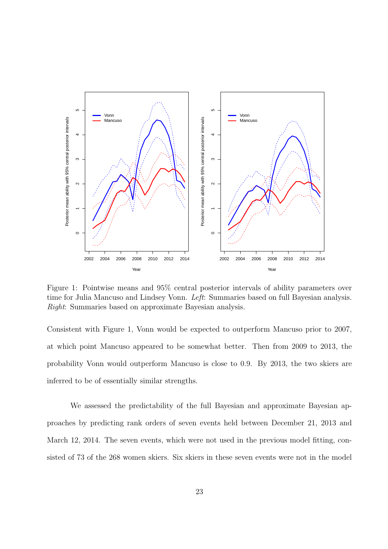

Figure 1: Pointwise means and 95% central posterior intervals of ability parameters over time for Julia Mancuso and Lindsey Vonn. *Left*: Summaries based on full Bayesian analysis. *Right*: Summaries based on approximate Bayesian analysis.

Consistent with Figure 1, Vonn would be expected to outperform Mancuso prior to 2007, at which point Mancuso appeared to be somewhat better. Then from 2009 to 2013, the probability Vonn would outperform Mancuso is close to 0.9. By 2013, the two skiers are inferred to be of essentially similar strengths.

We assessed the predictability of the full Bayesian and approximate Bayesian approaches by predicting rank orders of seven events held between December 21, 2013 and March 12, 2014. The seven events, which were not used in the previous model fitting, consisted of 73 of the 268 women skiers. Six skiers in these seven events were not in the model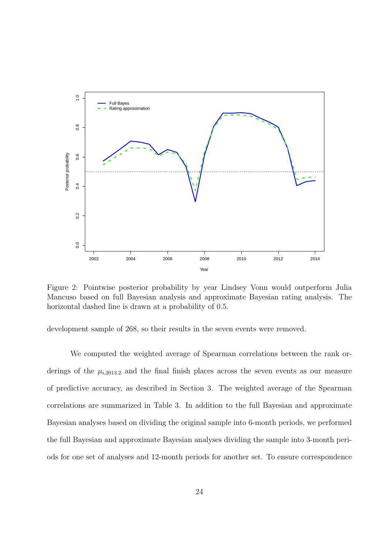

Figure 2: Pointwise posterior probability by year Lindsey Vonn would outperform Julia Mancuso based on full Bayesian analysis and approximate Bayesian rating analysis. The horizontal dashed line is drawn at a probability of 0.5.

development sample of 268, so their results in the seven events were removed.

We computed the weighted average of Spearman correlations between the rank orderings of the  $\mu_{i,2013,2}$  and the final finish places across the seven events as our measure of predictive accuracy, as described in Section 3. The weighted average of the Spearman correlations are summarized in Table 3. In addition to the full Bayesian and approximate Bayesian analyses based on dividing the original sample into 6-month periods, we performed the full Bayesian and approximate Bayesian analyses dividing the sample into 3-month periods for one set of analyses and 12-month periods for another set. To ensure correspondence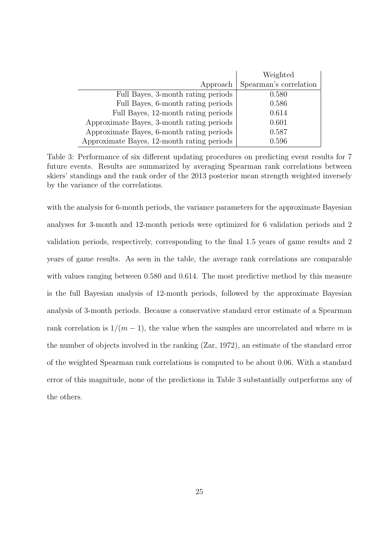|                                            | Weighted               |  |
|--------------------------------------------|------------------------|--|
| Approach                                   | Spearman's correlation |  |
| Full Bayes, 3-month rating periods         | 0.580                  |  |
| Full Bayes, 6-month rating periods         | 0.586                  |  |
| Full Bayes, 12-month rating periods        | 0.614                  |  |
| Approximate Bayes, 3-month rating periods  | 0.601                  |  |
| Approximate Bayes, 6-month rating periods  | 0.587                  |  |
| Approximate Bayes, 12-month rating periods | 0.596                  |  |

Table 3: Performance of six different updating procedures on predicting event results for 7 future events. Results are summarized by averaging Spearman rank correlations between skiers' standings and the rank order of the 2013 posterior mean strength weighted inversely by the variance of the correlations.

with the analysis for 6-month periods, the variance parameters for the approximate Bayesian analyses for 3-month and 12-month periods were optimized for 6 validation periods and 2 validation periods, respectively, corresponding to the final 1.5 years of game results and 2 years of game results. As seen in the table, the average rank correlations are comparable with values ranging between 0.580 and 0.614. The most predictive method by this measure is the full Bayesian analysis of 12-month periods, followed by the approximate Bayesian analysis of 3-month periods. Because a conservative standard error estimate of a Spearman rank correlation is  $1/(m-1)$ , the value when the samples are uncorrelated and where *m* is the number of objects involved in the ranking (Zar, 1972), an estimate of the standard error of the weighted Spearman rank correlations is computed to be about 0.06. With a standard error of this magnitude, none of the predictions in Table 3 substantially outperforms any of the others.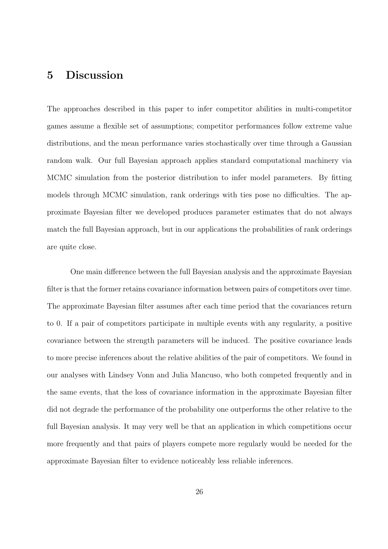#### **5 Discussion**

The approaches described in this paper to infer competitor abilities in multi-competitor games assume a flexible set of assumptions; competitor performances follow extreme value distributions, and the mean performance varies stochastically over time through a Gaussian random walk. Our full Bayesian approach applies standard computational machinery via MCMC simulation from the posterior distribution to infer model parameters. By fitting models through MCMC simulation, rank orderings with ties pose no difficulties. The approximate Bayesian filter we developed produces parameter estimates that do not always match the full Bayesian approach, but in our applications the probabilities of rank orderings are quite close.

One main difference between the full Bayesian analysis and the approximate Bayesian filter is that the former retains covariance information between pairs of competitors over time. The approximate Bayesian filter assumes after each time period that the covariances return to 0. If a pair of competitors participate in multiple events with any regularity, a positive covariance between the strength parameters will be induced. The positive covariance leads to more precise inferences about the relative abilities of the pair of competitors. We found in our analyses with Lindsey Vonn and Julia Mancuso, who both competed frequently and in the same events, that the loss of covariance information in the approximate Bayesian filter did not degrade the performance of the probability one outperforms the other relative to the full Bayesian analysis. It may very well be that an application in which competitions occur more frequently and that pairs of players compete more regularly would be needed for the approximate Bayesian filter to evidence noticeably less reliable inferences.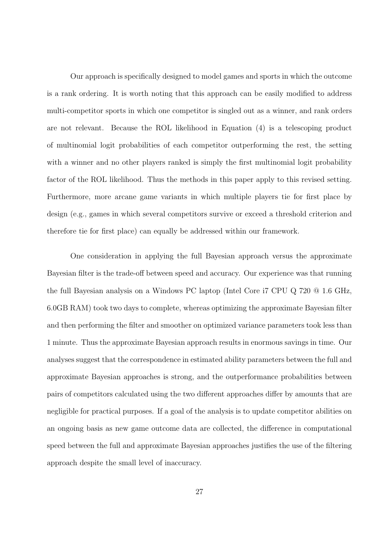Our approach is specifically designed to model games and sports in which the outcome is a rank ordering. It is worth noting that this approach can be easily modified to address multi-competitor sports in which one competitor is singled out as a winner, and rank orders are not relevant. Because the ROL likelihood in Equation (4) is a telescoping product of multinomial logit probabilities of each competitor outperforming the rest, the setting with a winner and no other players ranked is simply the first multinomial logit probability factor of the ROL likelihood. Thus the methods in this paper apply to this revised setting. Furthermore, more arcane game variants in which multiple players tie for first place by design (e.g., games in which several competitors survive or exceed a threshold criterion and therefore tie for first place) can equally be addressed within our framework.

One consideration in applying the full Bayesian approach versus the approximate Bayesian filter is the trade-off between speed and accuracy. Our experience was that running the full Bayesian analysis on a Windows PC laptop (Intel Core i7 CPU Q 720 @ 1.6 GHz, 6.0GB RAM) took two days to complete, whereas optimizing the approximate Bayesian filter and then performing the filter and smoother on optimized variance parameters took less than 1 minute. Thus the approximate Bayesian approach results in enormous savings in time. Our analyses suggest that the correspondence in estimated ability parameters between the full and approximate Bayesian approaches is strong, and the outperformance probabilities between pairs of competitors calculated using the two different approaches differ by amounts that are negligible for practical purposes. If a goal of the analysis is to update competitor abilities on an ongoing basis as new game outcome data are collected, the difference in computational speed between the full and approximate Bayesian approaches justifies the use of the filtering approach despite the small level of inaccuracy.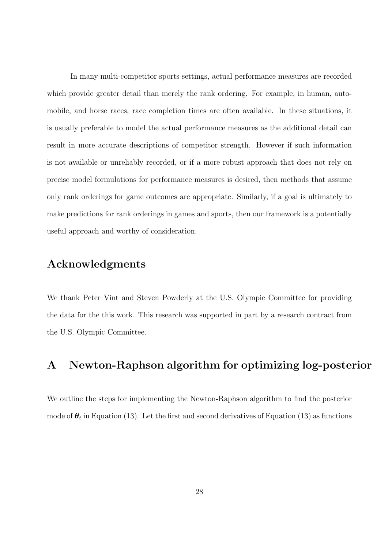In many multi-competitor sports settings, actual performance measures are recorded which provide greater detail than merely the rank ordering. For example, in human, automobile, and horse races, race completion times are often available. In these situations, it is usually preferable to model the actual performance measures as the additional detail can result in more accurate descriptions of competitor strength. However if such information is not available or unreliably recorded, or if a more robust approach that does not rely on precise model formulations for performance measures is desired, then methods that assume only rank orderings for game outcomes are appropriate. Similarly, if a goal is ultimately to make predictions for rank orderings in games and sports, then our framework is a potentially useful approach and worthy of consideration.

# **Acknowledgments**

We thank Peter Vint and Steven Powderly at the U.S. Olympic Committee for providing the data for the this work. This research was supported in part by a research contract from the U.S. Olympic Committee.

# **A Newton-Raphson algorithm for optimizing log-posterior**

We outline the steps for implementing the Newton-Raphson algorithm to find the posterior mode of  $\theta_t$  in Equation (13). Let the first and second derivatives of Equation (13) as functions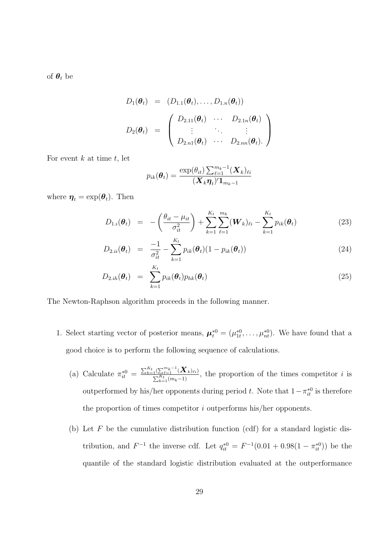of  $\boldsymbol{\theta}_t$  be

$$
D_1(\boldsymbol{\theta}_t) = (D_{1.1}(\boldsymbol{\theta}_t), \dots, D_{1.n}(\boldsymbol{\theta}_t))
$$
  

$$
D_2(\boldsymbol{\theta}_t) = \begin{pmatrix} D_{2.11}(\boldsymbol{\theta}_t) & \cdots & D_{2.1n}(\boldsymbol{\theta}_t) \\ \vdots & \ddots & \vdots \\ D_{2.n1}(\boldsymbol{\theta}_t) & \cdots & D_{2.nn}(\boldsymbol{\theta}_t). \end{pmatrix}
$$

For event *k* at time *t*, let

$$
p_{ik}(\boldsymbol{\theta}_t) = \frac{\exp(\theta_{it})\sum_{\ell=1}^{m_k-1}(\boldsymbol{X}_k)_{\ell i}}{(\boldsymbol{X}_k\boldsymbol{\eta}_t)'\boldsymbol{1}_{m_k-1}}
$$

where  $\boldsymbol{\eta}_t = \exp(\boldsymbol{\theta}_t)$ . Then

$$
D_{1.i}(\theta_t) = -\left(\frac{\theta_{it} - \mu_{it}}{\sigma_{it}^2}\right) + \sum_{k=1}^{K_t} \sum_{\ell=1}^{m_k} (\boldsymbol{W}_k)_{\ell i} - \sum_{k=1}^{K_t} p_{ik}(\theta_t)
$$
(23)

$$
D_{2.ii}(\boldsymbol{\theta}_t) = \frac{-1}{\sigma_{it}^2} - \sum_{k=1}^{K_t} p_{ik}(\boldsymbol{\theta}_t)(1 - p_{ik}(\boldsymbol{\theta}_t))
$$
\n(24)

$$
D_{2,ih}(\boldsymbol{\theta}_t) = \sum_{k=1}^{K_t} p_{ik}(\boldsymbol{\theta}_t) p_{hk}(\boldsymbol{\theta}_t)
$$
\n(25)

The Newton-Raphson algorithm proceeds in the following manner.

- 1. Select starting vector of posterior means,  $\boldsymbol{\mu}_t^{*0} = (\mu_{1t}^{*0}, \dots, \mu_{nt}^{*0})$ . We have found that a good choice is to perform the following sequence of calculations.
	- (a) Calculate  $\pi_{it}^{*0} = \frac{\sum_{k=1}^{K_t} (\sum_{\ell=1}^{m_k-1} (\bm{X}_k)_{\ell i})}{\sum_{k=1}^{K_t} (m_k-1)}$  $\frac{1}{\sum_{k=1}^{K_t}(m_k-1)}$ , the proportion of the times competitor *i* is outperformed by his/her opponents during period *t*. Note that  $1 - \pi_{it}^{*0}$  is therefore the proportion of times competitor *i* outperforms his/her opponents.
	- (b) Let *F* be the cumulative distribution function (cdf) for a standard logistic distribution, and  $F^{-1}$  the inverse cdf. Let  $q_{it}^{*0} = F^{-1}(0.01 + 0.98(1 - \pi_{it}^{*0}))$  be the quantile of the standard logistic distribution evaluated at the outperformance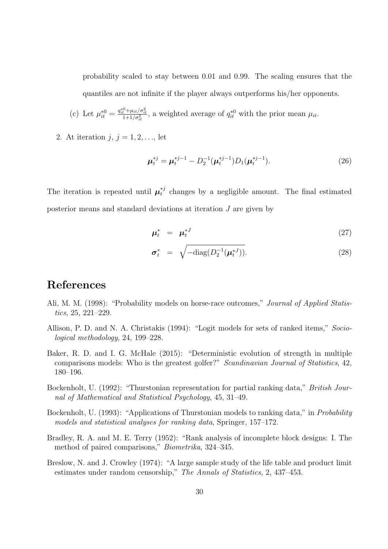probability scaled to stay between 0*.*01 and 0*.*99. The scaling ensures that the quantiles are not infinite if the player always outperforms his/her opponents.

(c) Let 
$$
\mu_{it}^{*0} = \frac{q_{it}^{*0} + \mu_{it}/\sigma_{it}^2}{1 + 1/\sigma_{it}^2}
$$
, a weighted average of  $q_{it}^{*0}$  with the prior mean  $\mu_{it}$ .

2. At iteration  $j, j = 1, 2, \ldots$ , let

$$
\mu_t^{*j} = \mu_t^{*j-1} - D_2^{-1}(\mu_t^{*j-1})D_1(\mu_t^{*j-1}).
$$
\n(26)

The iteration is repeated until  $\mu_t^{*j}$  $t<sub>t</sub><sup>*</sup>$  changes by a negligible amount. The final estimated posterior means and standard deviations at iteration *J* are given by

$$
\mu_t^* = \mu_t^{*J} \tag{27}
$$

$$
\boldsymbol{\sigma}_t^* = \sqrt{-\text{diag}(D_2^{-1}(\boldsymbol{\mu}_t^{*J}))}.
$$
\n(28)

#### **References**

- Ali, M. M. (1998): "Probability models on horse-race outcomes," *Journal of Applied Statistics*, 25, 221–229.
- Allison, P. D. and N. A. Christakis (1994): "Logit models for sets of ranked items," *Sociological methodology*, 24, 199–228.
- Baker, R. D. and I. G. McHale (2015): "Deterministic evolution of strength in multiple comparisons models: Who is the greatest golfer?" *Scandinavian Journal of Statistics*, 42, 180–196.
- Bockenholt, U. (1992): "Thurstonian representation for partial ranking data," *British Journal of Mathematical and Statistical Psychology*, 45, 31–49.
- Bockenholt, U. (1993): "Applications of Thurstonian models to ranking data," in *Probability models and statistical analyses for ranking data*, Springer, 157–172.
- Bradley, R. A. and M. E. Terry (1952): "Rank analysis of incomplete block designs: I. The method of paired comparisons," *Biometrika*, 324–345.
- Breslow, N. and J. Crowley (1974): "A large sample study of the life table and product limit estimates under random censorship," *The Annals of Statistics*, 2, 437–453.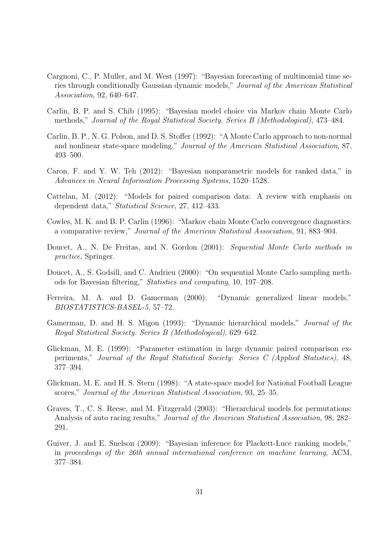- Cargnoni, C., P. Muller, and M. West (1997): "Bayesian forecasting of multinomial time series through conditionally Gaussian dynamic models," *Journal of the American Statistical Association*, 92, 640–647.
- Carlin, B. P. and S. Chib (1995): "Bayesian model choice via Markov chain Monte Carlo methods," *Journal of the Royal Statistical Society. Series B (Methodological)*, 473–484.
- Carlin, B. P., N. G. Polson, and D. S. Stoffer (1992): "A Monte Carlo approach to non-normal and nonlinear state-space modeling," *Journal of the American Statistical Association*, 87, 493–500.
- Caron, F. and Y. W. Teh (2012): "Bayesian nonparametric models for ranked data," in *Advances in Neural Information Processing Systems*, 1520–1528.
- Cattelan, M. (2012): "Models for paired comparison data: A review with emphasis on dependent data," *Statistical Science*, 27, 412–433.
- Cowles, M. K. and B. P. Carlin (1996): "Markov chain Monte Carlo convergence diagnostics: a comparative review," *Journal of the American Statistical Association*, 91, 883–904.
- Doucet, A., N. De Freitas, and N. Gordon (2001): *Sequential Monte Carlo methods in practice*, Springer.
- Doucet, A., S. Godsill, and C. Andrieu (2000): "On sequential Monte Carlo sampling methods for Bayesian filtering," *Statistics and computing*, 10, 197–208.
- Ferreira, M. A. and D. Gamerman (2000): "Dynamic generalized linear models," *BIOSTATISTICS-BASEL-5*, 57–72.
- Gamerman, D. and H. S. Migon (1993): "Dynamic hierarchical models," *Journal of the Royal Statistical Society. Series B (Methodological)*, 629–642.
- Glickman, M. E. (1999): "Parameter estimation in large dynamic paired comparison experiments," *Journal of the Royal Statistical Society: Series C (Applied Statistics)*, 48, 377–394.
- Glickman, M. E. and H. S. Stern (1998): "A state-space model for National Football League scores," *Journal of the American Statistical Association*, 93, 25–35.
- Graves, T., C. S. Reese, and M. Fitzgerald (2003): "Hierarchical models for permutations: Analysis of auto racing results," *Journal of the American Statistical Association*, 98, 282– 291.
- Guiver, J. and E. Snelson (2009): "Bayesian inference for Plackett-Luce ranking models," in *proceedings of the 26th annual international conference on machine learning*, ACM, 377–384.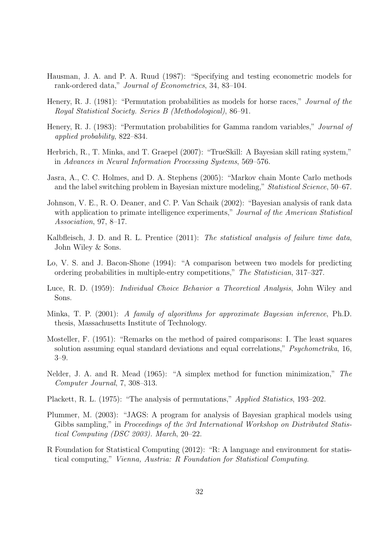- Hausman, J. A. and P. A. Ruud (1987): "Specifying and testing econometric models for rank-ordered data," *Journal of Econometrics*, 34, 83–104.
- Henery, R. J. (1981): "Permutation probabilities as models for horse races," *Journal of the Royal Statistical Society. Series B (Methodological)*, 86–91.
- Henery, R. J. (1983): "Permutation probabilities for Gamma random variables," *Journal of applied probability*, 822–834.
- Herbrich, R., T. Minka, and T. Graepel (2007): "TrueSkill: A Bayesian skill rating system," in *Advances in Neural Information Processing Systems*, 569–576.
- Jasra, A., C. C. Holmes, and D. A. Stephens (2005): "Markov chain Monte Carlo methods and the label switching problem in Bayesian mixture modeling," *Statistical Science*, 50–67.
- Johnson, V. E., R. O. Deaner, and C. P. Van Schaik (2002): "Bayesian analysis of rank data with application to primate intelligence experiments," *Journal of the American Statistical Association*, 97, 8–17.
- Kalbfleisch, J. D. and R. L. Prentice (2011): *The statistical analysis of failure time data*, John Wiley & Sons.
- Lo, V. S. and J. Bacon-Shone (1994): "A comparison between two models for predicting ordering probabilities in multiple-entry competitions," *The Statistician*, 317–327.
- Luce, R. D. (1959): *Individual Choice Behavior a Theoretical Analysis*, John Wiley and Sons.
- Minka, T. P. (2001): *A family of algorithms for approximate Bayesian inference*, Ph.D. thesis, Massachusetts Institute of Technology.
- Mosteller, F. (1951): "Remarks on the method of paired comparisons: I. The least squares solution assuming equal standard deviations and equal correlations," *Psychometrika*, 16, 3–9.
- Nelder, J. A. and R. Mead (1965): "A simplex method for function minimization," *The Computer Journal*, 7, 308–313.
- Plackett, R. L. (1975): "The analysis of permutations," *Applied Statistics*, 193–202.
- Plummer, M. (2003): "JAGS: A program for analysis of Bayesian graphical models using Gibbs sampling," in *Proceedings of the 3rd International Workshop on Distributed Statistical Computing (DSC 2003). March*, 20–22.
- R Foundation for Statistical Computing (2012): "R: A language and environment for statistical computing," *Vienna, Austria: R Foundation for Statistical Computing*.